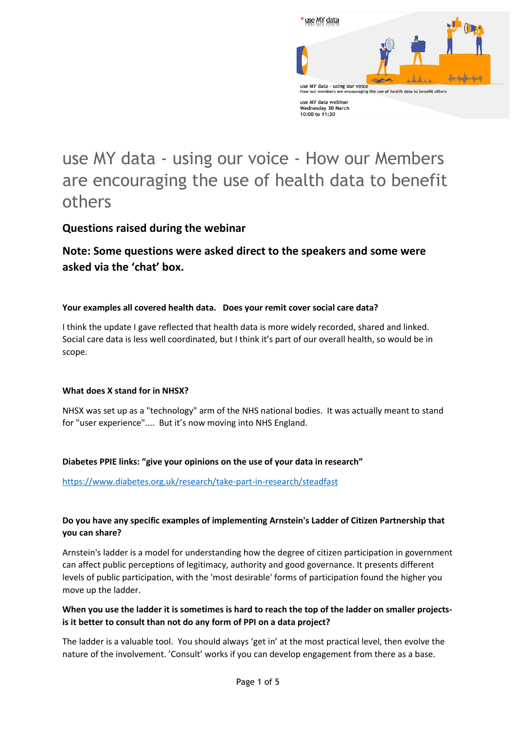

# use MY data - using our voice - How our Members are encouraging the use of health data to benefit others

# **Questions raised during the webinar**

# **Note: Some questions were asked direct to the speakers and some were asked via the 'chat' box.**

#### **Your examples all covered health data. Does your remit cover social care data?**

I think the update I gave reflected that health data is more widely recorded, shared and linked. Social care data is less well coordinated, but I think it's part of our overall health, so would be in scope.

#### **What does X stand for in NHSX?**

NHSX was set up as a "technology" arm of the NHS national bodies. It was actually meant to stand for "user experience".... But it's now moving into NHS England.

#### **Diabetes PPIE links: "give your opinions on the use of your data in research"**

<https://www.diabetes.org.uk/research/take-part-in-research/steadfast>

# **Do you have any specific examples of implementing Arnstein's Ladder of Citizen Partnership that you can share?**

Arnstein's ladder is a model for understanding how the degree of citizen participation in government can affect public perceptions of legitimacy, authority and good governance. It presents different levels of public participation, with the 'most desirable' forms of participation found the higher you move up the ladder.

## **When you use the ladder it is sometimes is hard to reach the top of the ladder on smaller projectsis it better to consult than not do any form of PPI on a data project?**

The ladder is a valuable tool. You should always 'get in' at the most practical level, then evolve the nature of the involvement. 'Consult' works if you can develop engagement from there as a base.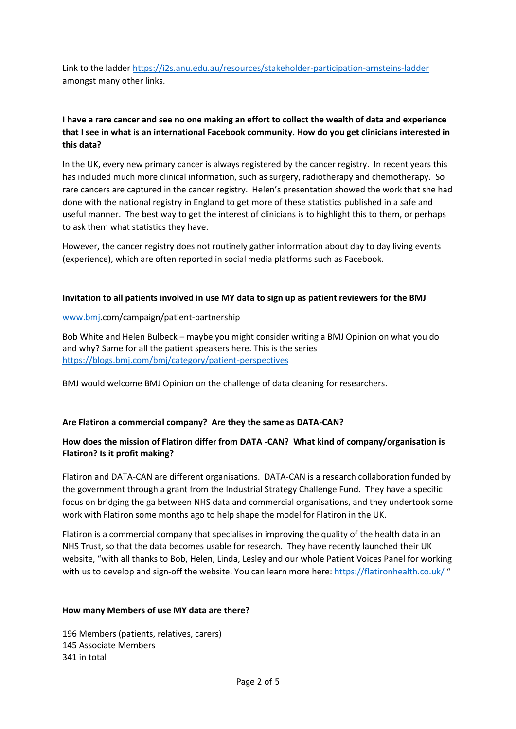Link to the ladder<https://i2s.anu.edu.au/resources/stakeholder-participation-arnsteins-ladder> amongst many other links.

## **I have a rare cancer and see no one making an effort to collect the wealth of data and experience that I see in what is an international Facebook community. How do you get clinicians interested in this data?**

In the UK, every new primary cancer is always registered by the cancer registry. In recent years this has included much more clinical information, such as surgery, radiotherapy and chemotherapy. So rare cancers are captured in the cancer registry. Helen's presentation showed the work that she had done with the national registry in England to get more of these statistics published in a safe and useful manner. The best way to get the interest of clinicians is to highlight this to them, or perhaps to ask them what statistics they have.

However, the cancer registry does not routinely gather information about day to day living events (experience), which are often reported in social media platforms such as Facebook.

#### **Invitation to all patients involved in use MY data to sign up as patient reviewers for the BMJ**

#### [www.bmj.](http://www.bmj/)com/campaign/patient-partnership

Bob White and Helen Bulbeck – maybe you might consider writing a BMJ Opinion on what you do and why? Same for all the patient speakers here. This is the series <https://blogs.bmj.com/bmj/category/patient-perspectives>

BMJ would welcome BMJ Opinion on the challenge of data cleaning for researchers.

#### **Are Flatiron a commercial company? Are they the same as DATA-CAN?**

#### **How does the mission of Flatiron differ from DATA -CAN? What kind of company/organisation is Flatiron? Is it profit making?**

Flatiron and DATA-CAN are different organisations. DATA-CAN is a research collaboration funded by the government through a grant from the Industrial Strategy Challenge Fund. They have a specific focus on bridging the ga between NHS data and commercial organisations, and they undertook some work with Flatiron some months ago to help shape the model for Flatiron in the UK.

Flatiron is a commercial company that specialises in improving the quality of the health data in an NHS Trust, so that the data becomes usable for research. They have recently launched their UK website, "with all thanks to Bob, Helen, Linda, Lesley and our whole Patient Voices Panel for working with us to develop and sign-off the website. You can learn more here:<https://flatironhealth.co.uk/> "

#### **How many Members of use MY data are there?**

196 Members (patients, relatives, carers) 145 Associate Members 341 in total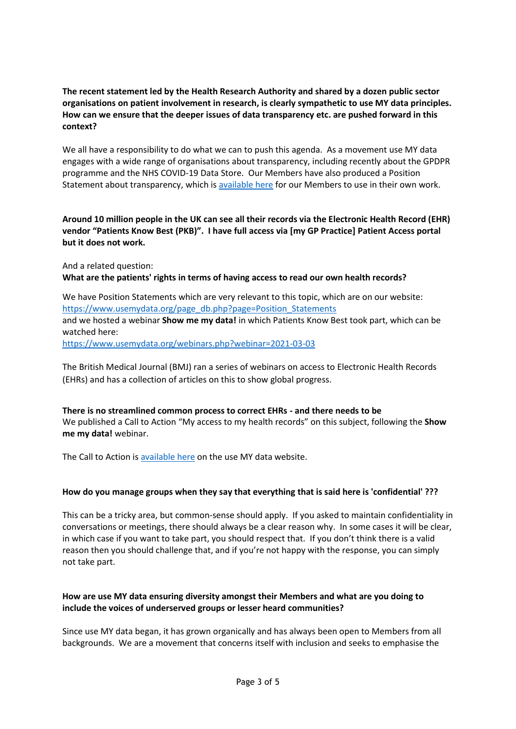#### **The recent statement led by the Health Research Authority and shared by a dozen public sector organisations on patient involvement in research, is clearly sympathetic to use MY data principles. How can we ensure that the deeper issues of data transparency etc. are pushed forward in this context?**

We all have a responsibility to do what we can to push this agenda. As a movement use MY data engages with a wide range of organisations about transparency, including recently about the GPDPR programme and the NHS COVID-19 Data Store. Our Members have also produced a Position Statement about transparency, which i[s available here](https://www.usemydata.org/page_db.php?page=Position_Statements) for our Members to use in their own work.

**Around 10 million people in the UK can see all their records via the Electronic Health Record (EHR) vendor "Patients Know Best (PKB)". I have full access via [my GP Practice] Patient Access portal but it does not work.**

And a related question:

**What are the patients' rights in terms of having access to read our own health records?** 

We have Position Statements which are very relevant to this topic, which are on our website: [https://www.usemydata.org/page\\_db.php?page=Position\\_Statements](https://www.usemydata.org/page_db.php?page=Position_Statements) and we hosted a webinar **Show me my data!** in which Patients Know Best took part, which can be watched here:

<https://www.usemydata.org/webinars.php?webinar=2021-03-03>

The British Medical Journal (BMJ) ran a series of webinars on access to Electronic Health Records (EHRs) and has a collection of articles on this to show global progress.

**There is no streamlined common process to correct EHRs - and there needs to be** We published a Call to Action "My access to my health records" on this subject, following the **Show me my data!** webinar.

The Call to Action is [available here](https://www.usemydata.org/resources/3%20-%20CALL%20TO%20ACTION%20%20-%20MY%20ACCESS%20TO%20MY%20HEALTH%20RECORDS%20-%2028072021.pdf) on the use MY data website.

#### **How do you manage groups when they say that everything that is said here is 'confidential' ???**

This can be a tricky area, but common-sense should apply. If you asked to maintain confidentiality in conversations or meetings, there should always be a clear reason why. In some cases it will be clear, in which case if you want to take part, you should respect that. If you don't think there is a valid reason then you should challenge that, and if you're not happy with the response, you can simply not take part.

#### **How are use MY data ensuring diversity amongst their Members and what are you doing to include the voices of underserved groups or lesser heard communities?**

Since use MY data began, it has grown organically and has always been open to Members from all backgrounds. We are a movement that concerns itself with inclusion and seeks to emphasise the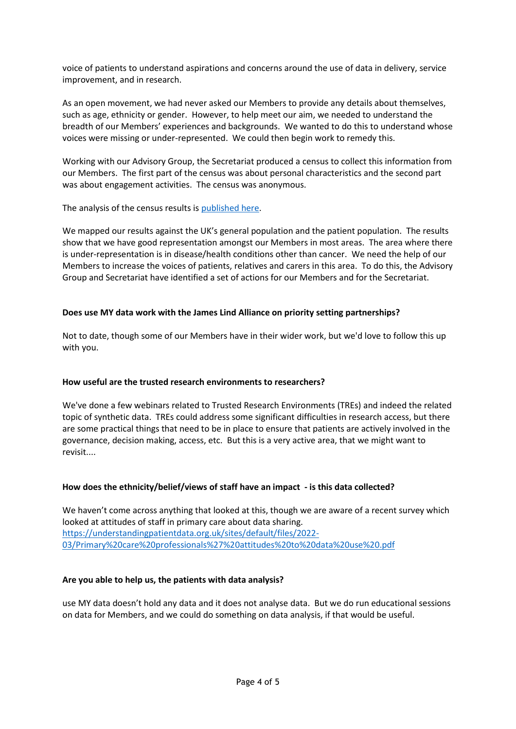voice of patients to understand aspirations and concerns around the use of data in delivery, service improvement, and in research.

As an open movement, we had never asked our Members to provide any details about themselves, such as age, ethnicity or gender. However, to help meet our aim, we needed to understand the breadth of our Members' experiences and backgrounds. We wanted to do this to understand whose voices were missing or under-represented. We could then begin work to remedy this.

Working with our Advisory Group, the Secretariat produced a census to collect this information from our Members. The first part of the census was about personal characteristics and the second part was about engagement activities. The census was anonymous.

The analysis of the census results is [published here.](file:///C:/Users/chris/Documents/Chris%20Carrigan/use%20MY%20data/Workshops%20and%20Webinars/2022%20March%20Members%20Showcase/usemydata.org.uk/resources/use%20MY%20data_Members)

We mapped our results against the UK's general population and the patient population. The results show that we have good representation amongst our Members in most areas. The area where there is under-representation is in disease/health conditions other than cancer. We need the help of our Members to increase the voices of patients, relatives and carers in this area. To do this, the Advisory Group and Secretariat have identified a set of actions for our Members and for the Secretariat.

#### **Does use MY data work with the James Lind Alliance on priority setting partnerships?**

Not to date, though some of our Members have in their wider work, but we'd love to follow this up with you.

#### **How useful are the trusted research environments to researchers?**

We've done a few webinars related to Trusted Research Environments (TREs) and indeed the related topic of synthetic data. TREs could address some significant difficulties in research access, but there are some practical things that need to be in place to ensure that patients are actively involved in the governance, decision making, access, etc. But this is a very active area, that we might want to revisit....

#### **How does the ethnicity/belief/views of staff have an impact - is this data collected?**

We haven't come across anything that looked at this, though we are aware of a recent survey which looked at attitudes of staff in primary care about data sharing. [https://understandingpatientdata.org.uk/sites/default/files/2022-](https://understandingpatientdata.org.uk/sites/default/files/2022-03/Primary%20care%20professionals%27%20attitudes%20to%20data%20use%20.pdf) [03/Primary%20care%20professionals%27%20attitudes%20to%20data%20use%20.pdf](https://understandingpatientdata.org.uk/sites/default/files/2022-03/Primary%20care%20professionals%27%20attitudes%20to%20data%20use%20.pdf)

#### **Are you able to help us, the patients with data analysis?**

use MY data doesn't hold any data and it does not analyse data. But we do run educational sessions on data for Members, and we could do something on data analysis, if that would be useful.